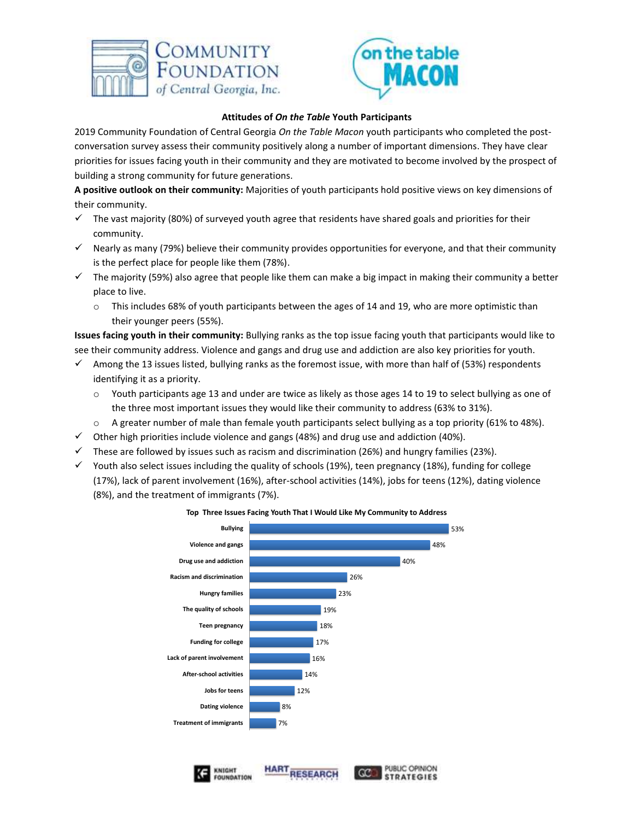



## **Attitudes of** *On the Table* **Youth Participants**

2019 Community Foundation of Central Georgia *On the Table Macon* youth participants who completed the postconversation survey assess their community positively along a number of important dimensions. They have clear priorities for issues facing youth in their community and they are motivated to become involved by the prospect of building a strong community for future generations.

**A positive outlook on their community:** Majorities of youth participants hold positive views on key dimensions of their community.

- The vast majority (80%) of surveyed youth agree that residents have shared goals and priorities for their community.
- $\checkmark$  Nearly as many (79%) believe their community provides opportunities for everyone, and that their community is the perfect place for people like them (78%).
- $\checkmark$  The majority (59%) also agree that people like them can make a big impact in making their community a better place to live.
	- $\circ$  This includes 68% of youth participants between the ages of 14 and 19, who are more optimistic than their younger peers (55%).

**Issues facing youth in their community:** Bullying ranks as the top issue facing youth that participants would like to see their community address. Violence and gangs and drug use and addiction are also key priorities for youth.

- $\checkmark$  Among the 13 issues listed, bullying ranks as the foremost issue, with more than half of (53%) respondents identifying it as a priority.
	- o Youth participants age 13 and under are twice as likely as those ages 14 to 19 to select bullying as one of the three most important issues they would like their community to address (63% to 31%).
	- $\circ$  A greater number of male than female youth participants select bullying as a top priority (61% to 48%).
- $\checkmark$  Other high priorities include violence and gangs (48%) and drug use and addiction (40%).
- $\checkmark$  These are followed by issues such as racism and discrimination (26%) and hungry families (23%).
- $\checkmark$  Youth also select issues including the quality of schools (19%), teen pregnancy (18%), funding for college (17%), lack of parent involvement (16%), after-school activities (14%), jobs for teens (12%), dating violence (8%), and the treatment of immigrants (7%).



## **Top Three Issues Facing Youth That I Would Like My Community to Address**